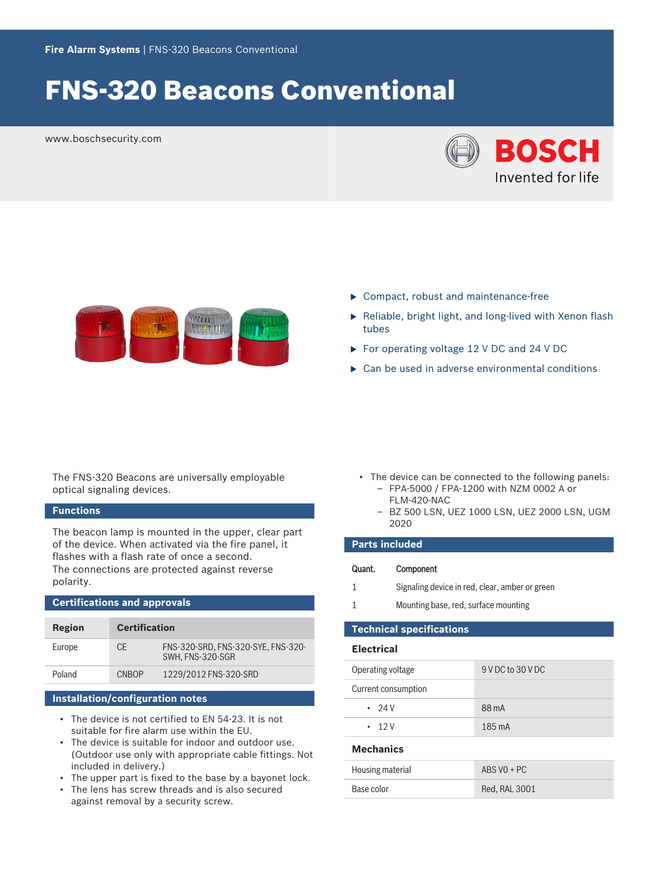# FNS-320 Beacons Conventional

www.boschsecurity.com





- $\blacktriangleright$  Compact, robust and maintenance-free
- $\blacktriangleright$  Reliable, bright light, and long-lived with Xenon flash tubes
- $\triangleright$  For operating voltage 12 V DC and 24 V DC
- $\triangleright$  Can be used in adverse environmental conditions

The FNS-320 Beacons are universally employable optical signaling devices.

# **Functions**

The beacon lamp is mounted in the upper, clear part of the device. When activated via the fire panel, it flashes with a flash rate of once a second. The connections are protected against reverse polarity.

# **Certifications and approvals**

| Region | <b>Certification</b> |                                                        |
|--------|----------------------|--------------------------------------------------------|
| Europe | CF                   | FNS-320-SRD, FNS-320-SYE, FNS-320-<br>SWH. FNS-320-SGR |
| Poland | <b>CNBOP</b>         | 1229/2012 FNS-320-SRD                                  |

# **Installation/configuration notes**

- The device is not certified to EN 54-23. It is not suitable for fire alarm use within the EU.
- The device is suitable for indoor and outdoor use. (Outdoor use only with appropriate cable fittings. Not included in delivery.)
- The upper part is fixed to the base by a bayonet lock.
- The lens has screw threads and is also secured against removal by a security screw.
- The device can be connected to the following panels: – FPA-5000 / FPA-1200 with NZM 0002 A or
	- FLM-420-NAC
	- BZ 500 LSN, UEZ 1000 LSN, UEZ 2000 LSN, UGM 2020

# **Parts included**

| Quant. | Component |
|--------|-----------|
|--------|-----------|

- 1 Signaling device in red, clear, amber or green
- 1 Mounting base, red, surface mounting

# **Technical specifications**

# **Electrical**

| $\cdot$ 12 V        | 185 mA            |
|---------------------|-------------------|
| .24V                | 88 mA             |
| Current consumption |                   |
| Operating voltage   | 9 V DC to 30 V DC |

# **Mechanics**

| Housing material | $ABS$ VO + PC |
|------------------|---------------|
| Base color       | Red. RAL 3001 |